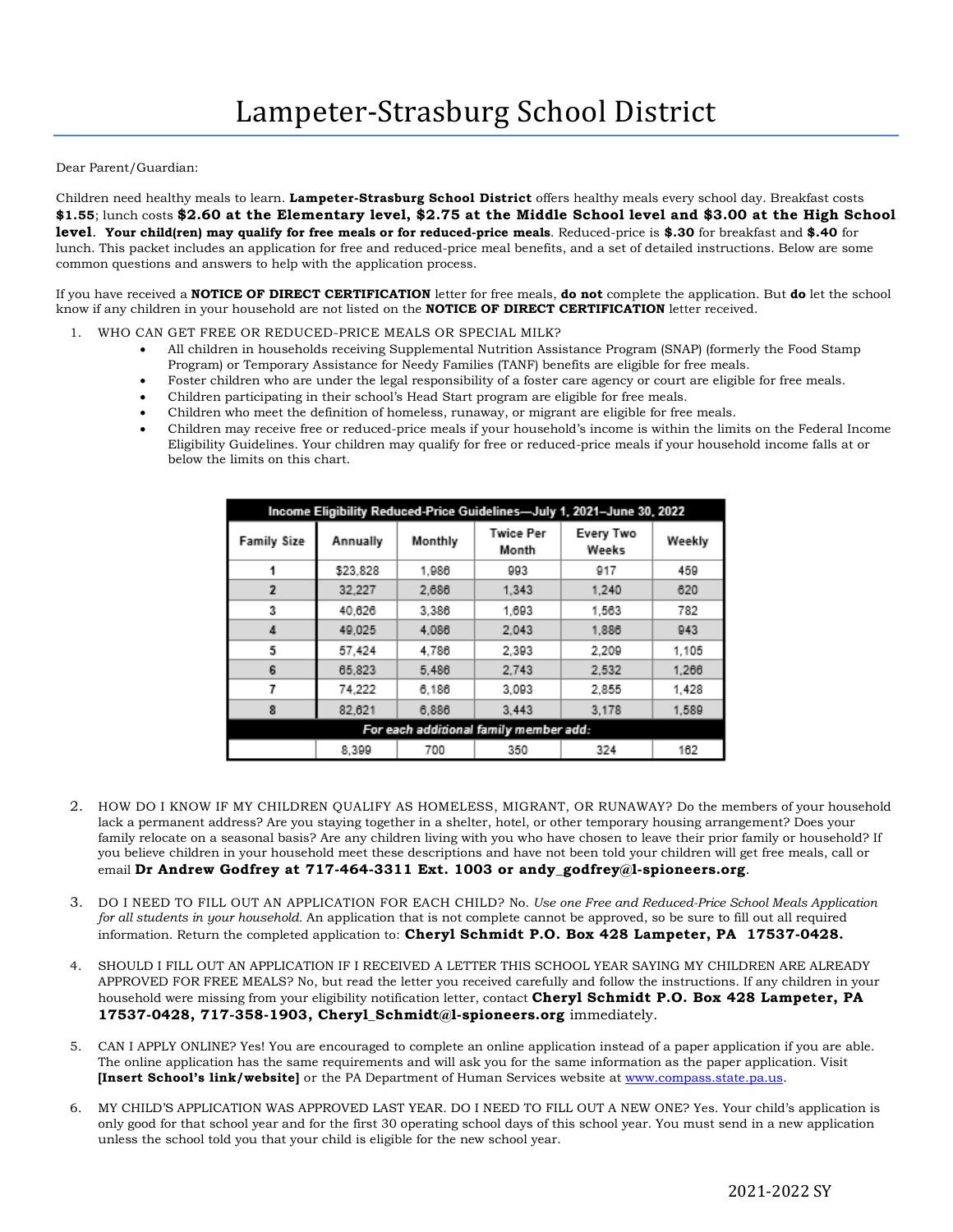Dear Parent/Guardian:

Children need healthy meals to learn. **Lampeter-Strasburg School District** offers healthy meals every school day. Breakfast costs **\$1.55**; lunch costs **\$2.60 at the Elementary level, \$2.75 at the Middle School level and \$3.00 at the High School level**. **Your child(ren) may qualify for free meals or for reduced-price meals**. Reduced-price is **\$.30** for breakfast and **\$.40** for lunch. This packet includes an application for free and reduced-price meal benefits, and a set of detailed instructions. Below are some common questions and answers to help with the application process.

If you have received a **NOTICE OF DIRECT CERTIFICATION** letter for free meals, **do not** complete the application. But **do** let the school know if any children in your household are not listed on the **NOTICE OF DIRECT CERTIFICATION** letter received.

- 1. WHO CAN GET FREE OR REDUCED-PRICE MEALS OR SPECIAL MILK?
	- All children in households receiving Supplemental Nutrition Assistance Program (SNAP) (formerly the Food Stamp Program) or Temporary Assistance for Needy Families (TANF) benefits are eligible for free meals.
	- Foster children who are under the legal responsibility of a foster care agency or court are eligible for free meals.
	- Children participating in their school's Head Start program are eligible for free meals.
	- Children who meet the definition of homeless, runaway, or migrant are eligible for free meals.
	- Children may receive free or reduced-price meals if your household's income is within the limits on the Federal Income Eligibility Guidelines. Your children may qualify for free or reduced-price meals if your household income falls at or below the limits on this chart.

| Income Eligibility Reduced-Price Guidelines-July 1, 2021-June 30, 2022 |          |         |                           |                    |        |
|------------------------------------------------------------------------|----------|---------|---------------------------|--------------------|--------|
| <b>Family Size</b>                                                     | Annually | Monthly | <b>Twice Per</b><br>Month | Every Two<br>Weeks | Weekly |
|                                                                        | \$23,828 | 1.986   | 993                       | 917                | 459    |
| $\overline{2}$                                                         | 32.227   | 2.686   | 1.343                     | 1.240              | 620    |
| 3                                                                      | 40.626   | 3.386   | 1.693                     | 1,563              | 782    |
| 4                                                                      | 49.025   | 4.086   | 2.043                     | 1.886              | 943    |
| 5                                                                      | 57.424   | 4.786   | 2.393                     | 2.209              | 1.105  |
| 6                                                                      | 65.823   | 5.486   | 2.743                     | 2,532              | 1,266  |
| 7                                                                      | 74.222   | 6.186   | 3.093                     | 2.855              | 1.428  |
| 8                                                                      | 82.621   | 6.886   | 3.443                     | 3.178              | 1.589  |
| For each additional family member add:                                 |          |         |                           |                    |        |
|                                                                        | 8.399    | 700     | 350                       | 324                | 162    |

- 2. HOW DO I KNOW IF MY CHILDREN QUALIFY AS HOMELESS, MIGRANT, OR RUNAWAY? Do the members of your household lack a permanent address? Are you staying together in a shelter, hotel, or other temporary housing arrangement? Does your family relocate on a seasonal basis? Are any children living with you who have chosen to leave their prior family or household? If you believe children in your household meet these descriptions and have not been told your children will get free meals, call or email **Dr Andrew Godfrey at 717-464-3311 Ext. 1003 or andy\_godfrey@l-spioneers.org**.
- 3. DO I NEED TO FILL OUT AN APPLICATION FOR EACH CHILD? No. *Use one Free and Reduced-Price School Meals Application for all students in your household.* An application that is not complete cannot be approved, so be sure to fill out all required information. Return the completed application to: **Cheryl Schmidt P.O. Box 428 Lampeter, PA 17537-0428.**
- 4. SHOULD I FILL OUT AN APPLICATION IF I RECEIVED A LETTER THIS SCHOOL YEAR SAYING MY CHILDREN ARE ALREADY APPROVED FOR FREE MEALS? No, but read the letter you received carefully and follow the instructions. If any children in your household were missing from your eligibility notification letter, contact **Cheryl Schmidt P.O. Box 428 Lampeter, PA 17537-0428, 717-358-1903, Cheryl\_Schmidt@l-spioneers.org** immediately.
- 5. CAN I APPLY ONLINE? Yes! You are encouraged to complete an online application instead of a paper application if you are able. The online application has the same requirements and will ask you for the same information as the paper application. Visit **[Insert School's link/website]** or the PA Department of Human Services website at [www.compass.state.pa.us.](http://www.compass.state.pa.us/)
- 6. MY CHILD'S APPLICATION WAS APPROVED LAST YEAR. DO I NEED TO FILL OUT A NEW ONE? Yes. Your child's application is only good for that school year and for the first 30 operating school days of this school year. You must send in a new application unless the school told you that your child is eligible for the new school year.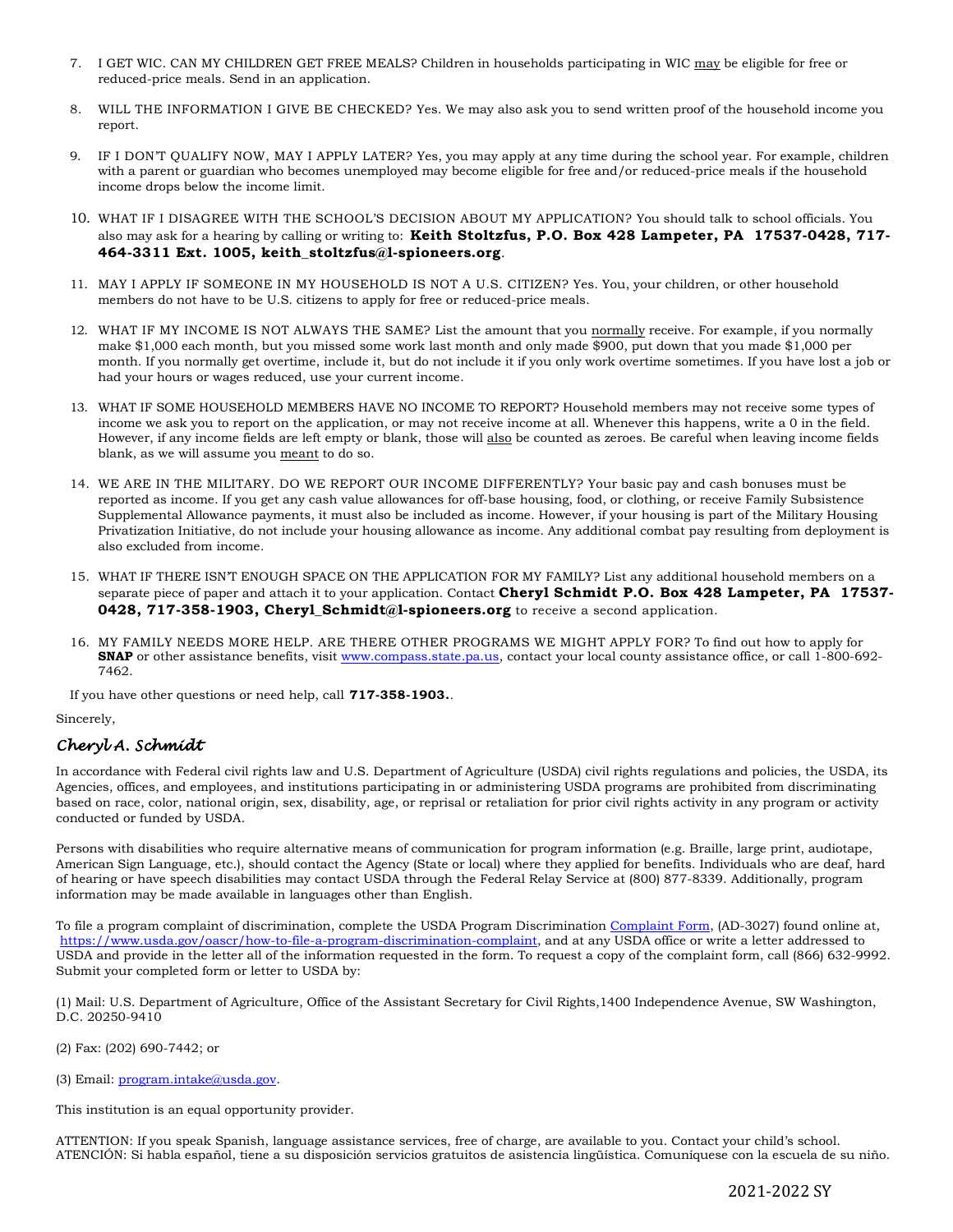- 7. I GET WIC. CAN MY CHILDREN GET FREE MEALS? Children in households participating in WIC may be eligible for free or reduced-price meals. Send in an application.
- 8. WILL THE INFORMATION I GIVE BE CHECKED? Yes. We may also ask you to send written proof of the household income you report.
- 9. IF I DON'T QUALIFY NOW, MAY I APPLY LATER? Yes, you may apply at any time during the school year. For example, children with a parent or guardian who becomes unemployed may become eligible for free and/or reduced-price meals if the household income drops below the income limit.
- 10. WHAT IF I DISAGREE WITH THE SCHOOL'S DECISION ABOUT MY APPLICATION? You should talk to school officials. You also may ask for a hearing by calling or writing to: **Keith Stoltzfus, P.O. Box 428 Lampeter, PA 17537-0428, 717- 464-3311 Ext. 1005, keith\_stoltzfus@l-spioneers.org***.*
- 11. MAY I APPLY IF SOMEONE IN MY HOUSEHOLD IS NOT A U.S. CITIZEN? Yes. You, your children, or other household members do not have to be U.S. citizens to apply for free or reduced-price meals.
- 12. WHAT IF MY INCOME IS NOT ALWAYS THE SAME? List the amount that you normally receive. For example, if you normally make \$1,000 each month, but you missed some work last month and only made \$900, put down that you made \$1,000 per month. If you normally get overtime, include it, but do not include it if you only work overtime sometimes. If you have lost a job or had your hours or wages reduced, use your current income.
- 13. WHAT IF SOME HOUSEHOLD MEMBERS HAVE NO INCOME TO REPORT? Household members may not receive some types of income we ask you to report on the application, or may not receive income at all. Whenever this happens, write a 0 in the field. However, if any income fields are left empty or blank, those will also be counted as zeroes. Be careful when leaving income fields blank, as we will assume you meant to do so.
- 14. WE ARE IN THE MILITARY. DO WE REPORT OUR INCOME DIFFERENTLY? Your basic pay and cash bonuses must be reported as income. If you get any cash value allowances for off-base housing, food, or clothing, or receive Family Subsistence Supplemental Allowance payments, it must also be included as income. However, if your housing is part of the Military Housing Privatization Initiative, do not include your housing allowance as income. Any additional combat pay resulting from deployment is also excluded from income.
- 15. WHAT IF THERE ISN'T ENOUGH SPACE ON THE APPLICATION FOR MY FAMILY? List any additional household members on a separate piece of paper and attach it to your application. Contact **Cheryl Schmidt P.O. Box 428 Lampeter, PA 17537- 0428, 717-358-1903, Cheryl\_Schmidt@l-spioneers.org** to receive a second application.
- 16. MY FAMILY NEEDS MORE HELP. ARE THERE OTHER PROGRAMS WE MIGHT APPLY FOR? To find out how to apply for **SNAP** or other assistance benefits, visit [www.compass.state.pa.us,](http://www.compass.state.pa.us/) contact your local county assistance office, or call 1-800-692- 7462.

If you have other questions or need help, call **717-358-1903.***.*

Sincerely,

## *Cheryl A. Schmidt*

In accordance with Federal civil rights law and U.S. Department of Agriculture (USDA) civil rights regulations and policies, the USDA, its Agencies, offices, and employees, and institutions participating in or administering USDA programs are prohibited from discriminating based on race, color, national origin, sex, disability, age, or reprisal or retaliation for prior civil rights activity in any program or activity conducted or funded by USDA.

Persons with disabilities who require alternative means of communication for program information (e.g. Braille, large print, audiotape, American Sign Language, etc.), should contact the Agency (State or local) where they applied for benefits. Individuals who are deaf, hard of hearing or have speech disabilities may contact USDA through the Federal Relay Service at (800) 877-8339. Additionally, program information may be made available in languages other than English.

To file a program complaint of discrimination, complete the USDA Program Discrimination [Complaint Form,](https://www.usda.gov/sites/default/files/documents/USDA-OASCR%20P-Complaint-Form-0508-0002-508-11-28-17Fax2Mail.pdf) (AD-3027) found online at, [https://www.usda.gov/oascr/how-to-file-a-program-discrimination-complaint,](https://www.usda.gov/oascr/how-to-file-a-program-discrimination-complaint) and at any USDA office or write a letter addressed to USDA and provide in the letter all of the information requested in the form. To request a copy of the complaint form, call (866) 632-9992. Submit your completed form or letter to USDA by:

(1) Mail: U.S. Department of Agriculture, Office of the Assistant Secretary for Civil Rights,1400 Independence Avenue, SW Washington, D.C. 20250-9410

(2) Fax: (202) 690-7442; or

(3) Email: [program.intake@usda.gov.](mailto:program.intake@usda.gov)

This institution is an equal opportunity provider.

ATTENTION: If you speak Spanish, language assistance services, free of charge, are available to you. Contact your child's school. ATENCIÓN: Si habla español, tiene a su disposición servicios gratuitos de asistencia lingüística. Comuníquese con la escuela de su niño.